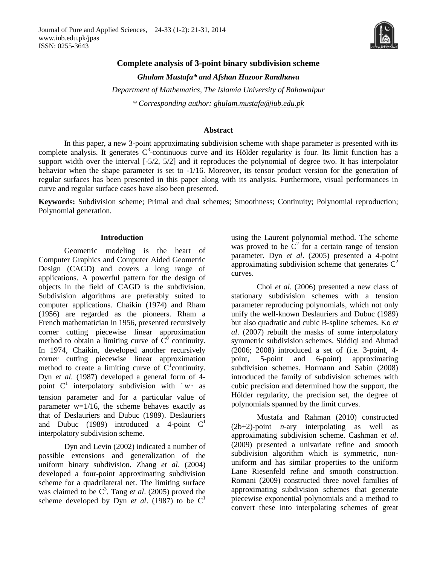

# **Complete analysis of 3-point binary subdivision scheme**

*Ghulam Mustafa\* and Afshan Hazoor Randhawa*

*Department of Mathematics, The Islamia University of Bahawalpur \* Corresponding author: [ghulam.mustafa@iub.edu.pk](mailto:ghulam.mustafa@iub.edu.pk)*

#### **Abstract**

In this paper, a new 3-point approximating subdivision scheme with shape parameter is presented with its complete analysis. It generates  $C^3$ -continuous curve and its Hölder regularity is four. Its limit function has a support width over the interval [-5/2, 5/2] and it reproduces the polynomial of degree two. It has interpolator behavior when the shape parameter is set to -1/16. Moreover, its tensor product version for the generation of regular surfaces has been presented in this paper along with its analysis. Furthermore, visual performances in curve and regular surface cases have also been presented.

**Keywords:** Subdivision scheme; Primal and dual schemes; Smoothness; Continuity; Polynomial reproduction; Polynomial generation.

#### **Introduction**

Geometric modeling is the heart of Computer Graphics and Computer Aided Geometric Design (CAGD) and covers a long range of applications. A powerful pattern for the design of objects in the field of CAGD is the subdivision. Subdivision algorithms are preferably suited to computer applications. Chaikin (1974) and Rham (1956) are regarded as the pioneers. Rham a French mathematician in 1956, presented recursively corner cutting piecewise linear approximation method to obtain a limiting curve of  $\tilde{C}^0$  continuity. In 1974, Chaikin, developed another recursively corner cutting piecewise linear approximation method to create a limiting curve of  $\widehat{C}^1$  continuity. Dyn *et al*. (1987) developed a general form of 4 point  $C^1$  interpolatory subdivision with  $w \cdot$  as tension parameter and for a particular value of parameter  $w=1/16$ , the scheme behaves exactly as that of Deslauriers and Dubuc (1989). Deslauriers and Dubuc (1989) introduced a 4-point  $C<sup>1</sup>$ interpolatory subdivision scheme.

Dyn and Levin (2002) indicated a number of possible extensions and generalization of the uniform binary subdivision. Zhang *et al*. (2004) developed a four-point approximating subdivision scheme for a quadrilateral net. The limiting surface was claimed to be  $C^3$ . Tang *et al.* (2005) proved the scheme developed by Dyn *et al.* (1987) to be  $C<sup>1</sup>$ 

using the Laurent polynomial method. The scheme was proved to be  $C^2$  for a certain range of tension parameter*.* Dyn *et al*. (2005) presented a 4-point approximating subdivision scheme that generates  $C^2$ curves.

Choi *et al*. (2006) presented a new class of stationary subdivision schemes with a tension parameter reproducing polynomials, which not only unify the well-known Deslauriers and Dubuc (1989) but also quadratic and cubic B-spline schemes. Ko *et al*. (2007) rebuilt the masks of some interpolatory symmetric subdivision schemes. Siddiqi and Ahmad (2006; 2008) introduced a set of (i.e. 3-point, 4 point, 5-point and 6-point) approximating subdivision schemes. Hormann and Sabin (2008) introduced the family of subdivision schemes with cubic precision and determined how the support, the Hölder regularity, the precision set, the degree of polynomials spanned by the limit curves.

Mustafa and Rahman (2010) constructed (2b+2)-point *n*-ary interpolating as well as approximating subdivision scheme. Cashman *et al*. (2009) presented a univariate refine and smooth subdivision algorithm which is symmetric, nonuniform and has similar properties to the uniform Lane Riesenfeld refine and smooth construction. Romani (2009) constructed three novel families of approximating subdivision schemes that generate piecewise exponential polynomials and a method to convert these into interpolating schemes of great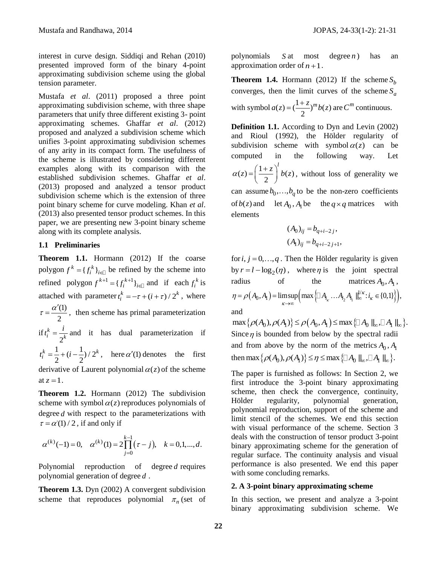interest in curve design. Siddiqi and Rehan (2010) presented improved form of the binary 4-point approximating subdivision scheme using the global tension parameter.

Mustafa *et al*. (2011) proposed a three point approximating subdivision scheme, with three shape parameters that unify three different existing 3- point approximating schemes. Ghaffar *et al*. (2012) proposed and analyzed a subdivision scheme which unifies 3-point approximating subdivision schemes of any arity in its compact form. The usefulness of the scheme is illustrated by considering different examples along with its comparison with the established subdivision schemes. Ghaffar *et al*. (2013) proposed and analyzed a tensor product subdivision scheme which is the extension of three point binary scheme for curve modeling. Khan *et al*. (2013) also presented tensor product schemes. In this paper, we are presenting new 3-point binary scheme along with its complete analysis.

## **1.1 Preliminaries**

**Theorem 1.1.** Hormann (2012) If the coarse polygon  $f^k = \{f_i^k\}_{i \in \mathbb{J}}$  be refined by the scheme into refined polygon  $f^{k+1} = {f_i^{k+1}}_{i \in \mathbb{J}}$  and if each  $f_i^k$  is attached with parameter  $t_i^k = -\tau + (i + \tau) / 2^k$ , where (1) 2  $\tau = \frac{\alpha'(1)}{2}$ , then scheme has primal parameterization if 2  $\frac{k}{i} = \frac{l}{2k}$  $t_i^k = \frac{i}{k}$  and it has dual parameterization if  $\frac{1}{2}$  +  $(i - \frac{1}{2})/2$  $\frac{1}{2}$   $\frac{1}{2}$  $t_i^k = \frac{1}{2} + (i - \frac{1}{2})/2^k$ , here  $\alpha'(1)$  denotes the first derivative of Laurent polynomial  $\alpha(z)$  of the scheme at  $z = 1$ .

**Theorem 1.2.** Hormann (2012) The subdivision scheme with symbol  $\alpha(z)$  reproduces polynomials of degree *d* with respect to the parameterizations with  $\tau = \alpha'(1) / 2$ , if and only if

$$
\alpha^{(k)}(-1) = 0, \quad \alpha^{(k)}(1) = 2 \prod_{j=0}^{k-1} (\tau - j), \quad k = 0, 1, ..., d.
$$

Polynomial reproduction of degree *d* requires polynomial generation of degree *d* .

**Theorem 1.3.** Dyn (2002) A convergent subdivision scheme that reproduces polynomial  $\pi_n$  (set of polynomials *S* at most degree  $degree n)$ ) has an approximation order of  $n+1$ .

**Theorem 1.4.** Hormann (2012) If the scheme  $S_b$ converges, then the limit curves of the scheme  $S_a$ 

with symbol  $a(z) = (\frac{1+z}{2})^m b(z)$ 2  $a(z) = (\frac{1+z}{2})^m b(z)$  are  $C^m$  continuous.

**Definition 1.1.** According to Dyn and Levin (2002) and Rioul (1992), the Hölder regularity of subdivision scheme with symbol  $\alpha(z)$  can be computed in the following way. Let  $(z) = \left(\frac{1+z}{2}\right)^{t} b(z)$ 2  $a(z) = \left(\frac{1+z}{2}\right)^l b(z)$  $=\left(\frac{1+z}{2}\right) b(z)$ , without loss of generality we can assume  $b_0$ ,..., $b_q$  to be the non-zero coefficients of  $b(z)$  and let  $A_0$ ,  $A_1$  be the  $q \times q$  matrices with elements

$$
(A_0)_{ij} = b_{q+i-2j},
$$
  

$$
(A_1)_{ij} = b_{q+i-2j+1},
$$

for  $i, j = 0, \ldots, q$ . Then the Hölder regularity is given by  $r = l - \log_2(\eta)$ , where  $\eta$  is the joint spectral radius of the matrices  $A_0, A_1$ ,  $(A_0, A_1) = \limsup_{k \to \infty} \left( \max \left\{ \Box A_{i_k} \dots A_{i_2} A_{i_1} \middle\|_{\infty}^{1/k} : i_k \in \{0,1\} \right\} \right),$ of the matrices  $A_0, A_1$ ,<br>  $A_0, A_1$ ) =  $\limsup \left( \max \left\{ \Box A_{i_{\kappa}} \dots A_{i_2} A_{i_1} \parallel_{\infty}^{l/\kappa} : i_{\kappa} \in \{0,1\} \right\} \right)$ , radius of the matrices  $A_0$ ,  $A_1$ ,<br>  $\eta = \rho(A_0, A_1) = \limsup_{\kappa \to \infty} \left( \max \left\{ \Box A_{i_\kappa} \dots A_{i_2} A_{i_1} \right\}^{\jmath \kappa}_{\kappa} : i_\kappa \in \{0,1\} \right\} \right),$ and

 $\max \{ \rho(A_0), \rho(A_1) \} \leq \rho(A_0, A_1) \leq \max \{ \Box A_0 \parallel_{\mathcal{O}} \Box A_1 \parallel_{\mathcal{O}} \}.$ Since  $\eta$  is bounded from below by the spectral radii and from above by the norm of the metrics  $A_0$ ,  $A_1$ and from above by the norm of the metrics  $A_0$ ,  $A_1$ <br>then max  $\{\rho(A_0), \rho(A_1)\} \le \eta \le \max{\{\Box A_0 \parallel_{\infty}, \Box A_1 \parallel_{\infty}\}}$ .

The paper is furnished as follows: In Section 2, we first introduce the 3-point binary approximating scheme, then check the convergence, continuity, Hölder regularity, polynomial generation, polynomial reproduction, support of the scheme and limit stencil of the schemes. We end this section with visual performance of the scheme. Section 3 deals with the construction of tensor product 3-point binary approximating scheme for the generation of regular surface. The continuity analysis and visual performance is also presented. We end this paper with some concluding remarks.

# **2. A 3-point binary approximating scheme**

In this section, we present and analyze a 3-point binary approximating subdivision scheme. We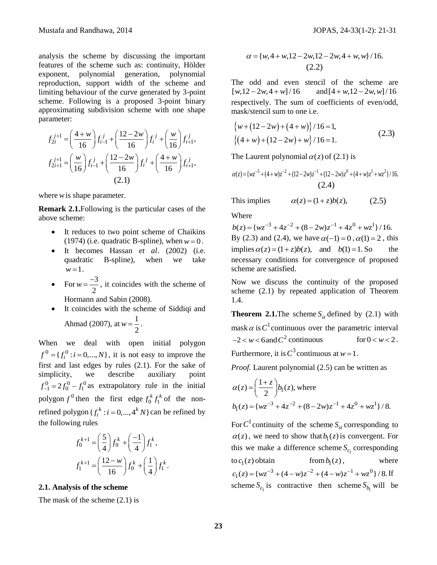analysis the scheme by discussing the important features of the scheme such as: continuity, Hölder exponent, polynomial generation, polynomial reproduction, support width of the scheme and limiting behaviour of the curve generated by 3-point scheme. Following is a proposed 3-point binary approximating subdivision scheme with one shape parameter:

rameter:  
\n
$$
f_{2i}^{j+1} = \left(\frac{4+w}{16}\right) f_{i-1}^{j} + \left(\frac{12-2w}{16}\right) f_{i}^{j} + \left(\frac{w}{16}\right) f_{i+1}^{j},
$$
\n
$$
f_{2i+1}^{j+1} = \left(\frac{w}{16}\right) f_{i-1}^{j} + \left(\frac{12-2w}{16}\right) f_{i}^{j} + \left(\frac{4+w}{16}\right) f_{i+1}^{j},
$$
\n(2.1)

where *w* is shape parameter.

**Remark 2.1.**Following is the particular cases of the above scheme:

- It reduces to two point scheme of Chaikins  $(1974)$  (i.e. quadratic B-spline), when  $w = 0$ .
- It becomes Hassan *et al*. (2002) (i.e. quadratic B-spline), when we take  $w = 1$ .
- For  $w = \frac{-3}{2}$ 2  $w = \frac{-3}{2}$ , it coincides with the scheme of Hormann and Sabin (2008).
- It coincides with the scheme of Siddiqi and Ahmad (2007), at  $w = \frac{1}{2}$ 2  $w = \frac{1}{2}$ .

When we deal with open initial polygon  $f^{0} = \{f_i^{0} : i = 0, ..., N\}$ , it is not easy to improve the first and last edges by rules (2.1). For the sake of simplicity, we describe auxiliary point  $f_{-1}^0 = 2f_0^0 - f_1^0$  as extrapolatory rule in the initial polygon  $f^0$  then the first edge  $f_0^k f_1^k$  of the nonrefined polygon  $\{f_i^k : i = 0, ..., 4^k N\}$  can be refined by the following rules

$$
f_0^{k+1} = \left(\frac{5}{4}\right) f_0^k + \left(\frac{-1}{4}\right) f_1^k,
$$
  

$$
f_1^{k+1} = \left(\frac{12 - w}{16}\right) f_0^k + \left(\frac{1}{4}\right) f_1^k.
$$

#### **2.1. Analysis of the scheme**

The mask of the scheme (2.1) is

$$
\alpha = \{w, 4 + w, 12 - 2w, 12 - 2w, 4 + w, w\}/16.
$$
\n(2.2)

The odd and even stencil of the scheme are  $[w, 12 - 2w, 4 + w]/16$ and  $[4 + w, 12 - 2w, w] / 16$ respectively. The sum of coefficients of even/odd, mask/stencil sum to one i.e.

$$
{w+(12-2w)+(4+w)}/16=1,
$$
  
 {(4+w)+(12-2w)+w}/16=1. (2.3)

The Laurent polynomial 
$$
\alpha(z)
$$
 of (2.1) is  
\n
$$
\alpha(z) = \{wz^{-3} + (4+w)z^{-2} + (12-2w)z^{-1} + (12-2w)z^0 + (4+w)z^1 + wz^2\}/16.
$$
\n(2.4)

This implies  $\alpha(z) = (1 + z) b(z),$ 

Where

 $b(z) = {wz^{-3} + 4z^{-2} + (8-2w)z^{-1} + 4z^{0} + wz^{1}}/{16}.$ By (2.3) and (2.4), we have  $\alpha(-1) = 0$ ,  $\alpha(1) = 2$ , this By (2.3) and (2.4), we have  $\alpha(-1) = 0$ ,  $\alpha(1) = 2$ , this<br>
implies  $\alpha(z) = (1 + z)b(z)$ , and  $b(1) = 1$ . So the necessary conditions for convergence of proposed scheme are satisfied.

Now we discuss the continuity of the proposed scheme (2.1) by repeated application of Theorem 1.4.

**Theorem 2.1.** The scheme  $S_\alpha$  defined by (2.1) with mask  $\alpha$  is  $C^1$  continuous over the parametric interval  $-2 < w < 6$  and  $C^2$  continuous for for  $0 < w < 2$ . Furthermore, it is  $C^3$  continuous at  $w=1$ .

*Proof.* Laurent polynomial (2.5) can be written as

$$
\alpha(z) = \left(\frac{1+z}{2}\right) b_1(z), \text{ where}
$$
  
\n
$$
b_1(z) = \{wz^{-3} + 4z^{-2} + (8 - 2w)z^{-1} + 4z^0 + wz^1\}/8.
$$

For  $C^1$  continuity of the scheme  $S_\alpha$  corresponding to  $\alpha(z)$ , we need to show that  $b_1(z)$  is convergent. For this we make a difference scheme  $S_{c<sub>1</sub>}$  corresponding  $\cot c_1(z)$  obtain from  $from b_1(z)$ , , where to  $c_1(z)$  obtain from  $b_1(z)$ , where  $c_1(z) = \{wz^{-3} + (4 - w)z^{-2} + (4 - w)z^{-1} + wz^0\}/8$ . If scheme  $S_{c_1}$  is contractive then scheme  $S_{b_1}$  will be

(2.5)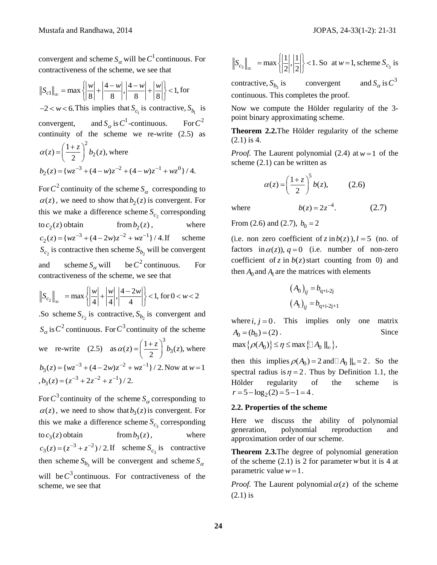(2.7)

convergent and scheme  $S_{\alpha}$  will be  $C^1$  continuous. For

contractiveness of the scheme, we see that  
\n
$$
||S_{c1}||_{\infty} = \max \left\{ \left| \frac{w}{8} \right| + \left| \frac{4-w}{8} \right|, \left| \frac{4-w}{8} \right| + \left| \frac{w}{8} \right| \right\} < 1, \text{ for } -2 < w < 6.
$$
 This implies that  $S_{c_1}$  is contractive,  $S_{b_1}$  is convergent, and  $S_{\alpha}$  is  $C^1$ -continuous. For  $C^2$  continuity of the scheme we re-write (2.5) as  
\n
$$
\alpha(z) = \left( \frac{1+z}{2} \right)^2 b_2(z), \text{ where}
$$
\n
$$
b_2(z) = \{ wz^{-3} + (4-w)z^{-2} + (4-w)z^{-1} + wz^0 \} / 4.
$$

For  $C^2$  continuity of the scheme  $S_\alpha$  corresponding to  $\alpha(z)$ , we need to show that  $b_2(z)$  is convergent. For this we make a difference scheme  $S_{c_2}$  corresponding to  $c_2(z)$  obtain from from  $b_2(z)$ , , where  $\text{from } b_2(z)$ , obtain  $\text{from } b_2(z)$ ,<br>  $c_2(z) = \{wz^{-3} + (4-2w)z^{-2} + wz^{-1}\}/4.$ scheme  $S_{c_2}$  is contractive then scheme  $S_{b_2}$  will be convergent and scheme  $S_\alpha$  will be  $C^2$  continuous. For contractiveness of the scheme, we see that

$$
\|S_{c_2}\|_{\infty} = \max\left\{\left|\frac{w}{4}\right| + \left|\frac{w}{4}\right|, \left|\frac{4-2w}{4}\right|\right\} < 1, \text{ for } 0 < w < 2
$$

So scheme  $S_{c_2}$  is contractive,  $S_{b_2}$  is convergent and  $S_{\alpha}$  is  $C^2$  continuous. For  $C^3$  continuity of the scheme we re-write (2.5) as 3 3  $(z) = \left(\frac{1+z}{2}\right)^3 b_3(z),$  $\alpha(z) = \left(\frac{1+z}{2}\right)^3 b_3(z)$  $=\left(\frac{1+z}{2}\right)b_3(z)$ , where  $b_3(z) = \{wz^{-3} + (4 - 2w)z^{-2} + wz^{-1}\}/2$ . Now at  $w = 1$  $b_3(z) = (z^{-3} + 2z^{-2} + z^{-1})/2.$ 

For  $C^3$  continuity of the scheme  $S_\alpha$  corresponding to  $\alpha(z)$ , we need to show that  $b_3(z)$  is convergent. For this we make a difference scheme  $S_{c_3}$  corresponding  $\cos(c_3(z))$  obtain from  $from b_3(z)$ , , where  $c_3(z) = (z^{-3} + z^{-2})/2$ . If scheme  $S_{c_3}$  is contractive then scheme  $S_{b_3}$  will be convergent and scheme  $S_{\alpha}$ will be  $C^3$  continuous. For contractiveness of the scheme, we see that

$$
\|S_{c_3}\|_{\infty} = \max\left\{\left|\frac{1}{2}\right|, \left|\frac{1}{2}\right|\right\} < 1
$$
. So at  $w = 1$ , scheme  $S_{c_3}$  is

contractive, 3 *b S* convergent  $S_\alpha$  is  $C^3$ continuous. This completes the proof.

Now we compute the Hölder regularity of the 3 point binary approximating scheme.

**Theorem 2.2.**The Hölder regularity of the scheme (2.1) is 4.

*Proof.* The Laurent polynomial  $(2.4)$  at  $w=1$  of the scheme (2.1) can be written as

$$
\alpha(z) = \left(\frac{1+z}{2}\right)^5 b(z),\tag{2.6}
$$

where

 $b(z) = 2z^{-4}$ .

From (2.6) and (2.7),  $b_0 = 2$ 

(i.e. non zero coefficient of  $z$  in  $b(z)$ ),  $l = 5$  (no. of factors in  $\alpha(z)$ ,  $q = 0$  (i.e. number of non-zero coefficient of  $z$  in  $b(z)$  start counting from 0) and then  $A_0$  and  $A_1$  are the matrices with elements

$$
(A_0)_{ij} = b_{q+i-2j}
$$

$$
(A_1)_{ij} = b_{q+i-2j+1}
$$

where  $i, j = 0$ . This implies only one matrix  $A_0 = (b_0) = (2)$ . . Since  $\max \{ \rho(A_0) \} \leq \eta \leq \max \{ \Box A_0 \parallel_{\infty} \},$ 

then this implies  $\rho(A_0) = 2$  and  $A_0 \parallel_{\infty} = 2$ . So the spectral radius is  $\eta = 2$ . Thus by Definition 1.1, the Hölder regularity of the scheme is  $r = 5 - \log_2(2) = 5 - 1 = 4$ .

#### **2.2. Properties of the scheme**

Here we discuss the ability of polynomial generation, polynomial reproduction and approximation order of our scheme.

**Theorem 2.3.**The degree of polynomial generation of the scheme (2.1) is 2 for parameter *w* but it is 4 at parametric value  $w = 1$ .

*Proof.* The Laurent polynomial  $\alpha(z)$  of the scheme (2.1) is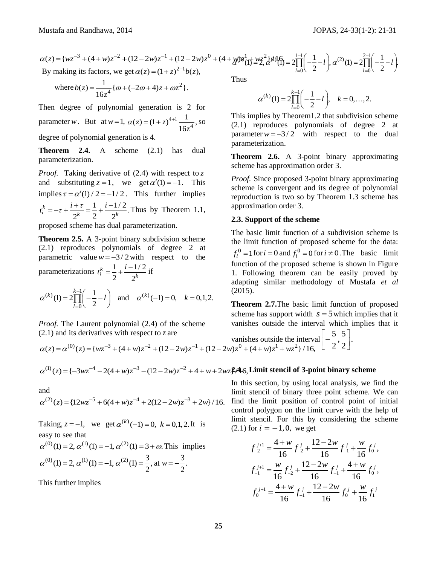Mustafa and Randhawa, 2014  
\n
$$
\alpha(z) = \{wz^{-3} + (4+w)z^{-2} + (12-2w)z^{-1} + (12-2w)z^{0} + (4+w)w^{1}\left(\frac{1}{2} + \frac{wz^{2}}{2} \right) \sin \left(\frac{1}{2} - \frac{1}{2}\right), \alpha^{(2)}(1) = 2\prod_{l=0}^{2-1} \left(-\frac{1}{2} - l\right).
$$
\nBy making its factors, we get 
$$
\alpha(z) = (1+z)^{2+1}b(z),
$$

where 
$$
b(z) = \frac{1}{16z^4} {\omega + (-2\omega + 4)z + \omega z^2}.
$$

Then degree of polynomial generation is 2 for parameter *w*. But at  $w = 1$ ,  $\alpha(z) = (1 + z)^{4+1} \frac{1}{16z^4}$  $(z) = (1 + z)^{4+1} \frac{1}{1+z}$ 16  $z = (1 + z)$  $\alpha(z) = (1+z)^{4+1} \frac{1}{16z^4}$ , so degree of polynomial generation is 4.

**Theorem 2.4.** A scheme (2.1) has dual parameterization.

**25** 2 2 2  $\alpha(2) - \frac{1}{2}$  (12  $\alpha(3) - \frac{1}{2}$  (12  $\alpha(4) + \frac{1}{2}$  2  $\alpha(5) + \frac{1}{2}$  (14 )  $\frac{1}{2}$  (14 )  $\frac{1}{2}$  (14 )  $\frac{1}{2}$  (14 )  $\frac{1}{2}$  (14 )  $\frac{1}{2}$  (14 ) (15 ) (15 ) (15 ) (15 ) (15 ) (15 ) (15 ) (15 ) (1 *Proof.* Taking derivative of (2.4) with respect to *z* and substituting  $z = 1$ , we get  $\alpha'(1) = -1$ . This implies  $\tau = \alpha'(1)/2 = -1/2$ . This further implies  $\frac{k}{i} = -\tau + \frac{i+\tau}{2^k} = \frac{1}{2} + \frac{i-1/2}{2^k}.$  $t_i^k = -\tau + \frac{i+\tau}{2^k} = \frac{1}{2} + \frac{i-1/2}{2^k}$ . Thus by Theorem 1.1, proposed scheme has dual parameterization.

**Theorem 2.5.** A 3-point binary subdivision scheme (2.1) reproduces polynomials of degree 2 at parametric value  $w = -3/2$  with respect to the parameterizations  $t_i^k = \frac{1}{k} + \frac{i - 1/2}{k}$  $2^{\degree}$  2  $\frac{k}{i} = \frac{1}{2} + \frac{i-1}{2^k}$ 

parameterizations 
$$
t_i^k = \frac{1}{2} + \frac{i - 1/2}{2^k}
$$
 if  
\n $\alpha^{(k)}(1) = 2 \prod_{l=0}^{k-1} \left( -\frac{1}{2} - l \right)$  and  $\alpha^{(k)}(-1) = 0$ ,  $k = 0, 1, 2$ .

*Proof.* The Laurent polynomial (2.4) of the scheme (2.1) and its derivatives with respect to *z* are

*Proof.* The Laurent polynomial (2.4) of the scheme vanishes outside the interval which is 
$$
\alpha(z) = \alpha^{(0)}(z) = \{wz^{-3} + (4+w)z^{-2} + (12-2w)z^{-1} + (12-2w)z^0 + (4+w)z^1 + wz^2\}/16
$$
,  
\n
$$
\alpha^{(1)}(z) = \{-3wz^{-4} - 2(4+w)z^{-3} - (12-2w)z^{-2} + 4 + w + 2wz\}/46
$$
, Limit stencil of 3-point binary s

$$
\alpha^{(1)}(z) = \{-3wz^{-4} - 2(4+w)z^{-3} - (12-2w)z^{-2} + 4 + w + 2wz\}.
$$
4.6, Limit stencil of 3-point binary scheme

and

and  
\n
$$
\alpha^{(2)}(z) = \{12wz^{-5} + 6(4+w)z^{-4} + 2(12-2w)z^{-3} + 2w\}/16.
$$

Taking,  $z = -1$ , we get  $\alpha^{(k)}(-1) = 0$ ,  $k = 0, 1, 2$ . It is easy to see that

easy to see that  
\n
$$
\alpha^{(0)}(1) = 2
$$
,  $\alpha^{(1)}(1) = -1$ ,  $\alpha^{(2)}(1) = 3 + \omega$ . This implies  
\n $\alpha^{(0)}(1) = 2$ ,  $\alpha^{(1)}(1) = -1$ ,  $\alpha^{(2)}(1) = \frac{3}{2}$ , at  $w = -\frac{3}{2}$ .

This further implies

Thus

$$
\alpha^{(k)}(1) = 2 \prod_{l=0}^{k-1} \left( -\frac{1}{2} - l \right), \quad k = 0, \dots, 2.
$$

This implies by Theorem1.2 that subdivision scheme (2.1) reproduces polynomials of degree 2 at parameter  $w = -3/2$  with respect to the dual parameterization.

**Theorem 2.6.** A 3-point binary approximating scheme has approximation order 3.

*Proof.* Since proposed 3-point binary approximating scheme is convergent and its degree of polynomial reproduction is two so by Theorem 1.3 scheme has approximation order 3.

#### **2.3. Support of the scheme**

The basic limit function of a subdivision scheme is the limit function of proposed scheme for the data:  $f_i^0 = 1$  for  $i = 0$  and  $f_i^0 = 0$  for  $i \neq 0$ . The basic limit function of the proposed scheme is shown in Figure 1. Following theorem can be easily proved by adapting similar methodology of Mustafa *et al* (2015).

**Theorem 2.7.**The basic limit function of proposed scheme has support width  $s = 5$  which implies that it vanishes outside the interval which implies that it

In this section, by using local analysis, we find the limit stencil of binary three point scheme. We can find the limit position of control point of initial control polygon on the limit curve with the help of limit stencil. For this by considering the scheme

(2.1) for 
$$
i = -1, 0
$$
, we get  
\n
$$
f_{-2}^{j+1} = \frac{4+w}{16} f_{-2}^j + \frac{12-2w}{16} f_{-1}^j + \frac{w}{16} f_0^j,
$$
\n
$$
f_{-1}^{j+1} = \frac{w}{16} f_{-2}^j + \frac{12-2w}{16} f_{-1}^j + \frac{4+w}{16} f_0^j,
$$
\n
$$
f_0^{j+1} = \frac{4+w}{16} f_{-1}^j + \frac{12-2w}{16} f_0^j + \frac{w}{16} f_1^j
$$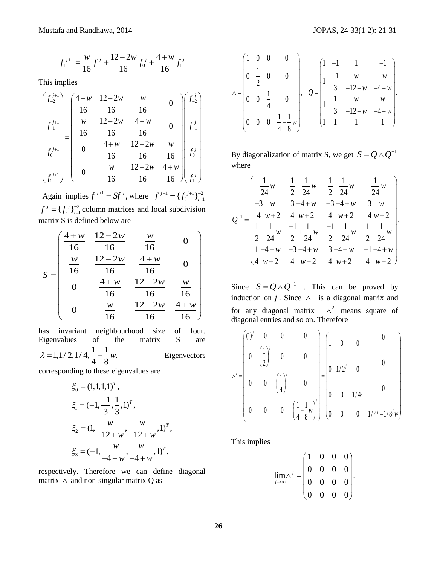$$
f_1^{j+1} = \frac{w}{16} f_{-1}^j + \frac{12 - 2w}{16} f_0^j + \frac{4 + w}{16} f_1^j
$$

This implies

$$
f_1^{j+1} = \frac{w}{16} f_{-1}^{j} + \frac{12 - 2w}{16} f_0^{j} + \frac{4 + w}{16} f_1^{j}
$$
  
This implies  
\n
$$
\begin{pmatrix} f_{-2}^{j+1} \\ f_{-1}^{j+1} \\ f_0^{j+1} \\ f_0^{j+1} \end{pmatrix} = \begin{pmatrix} \frac{4+w}{16} & \frac{12-2w}{16} & \frac{w}{16} & 0 \\ \frac{w}{16} & \frac{12-2w}{16} & \frac{4+w}{16} & 0 \\ 0 & \frac{4+w}{16} & \frac{12-2w}{16} & \frac{w}{16} \\ 0 & \frac{w}{16} & \frac{12-2w}{16} & \frac{w}{16} \\ 0 & \frac{w}{16} & \frac{12-2w}{16} & \frac{w}{16} \\ 0 & \frac{w}{16} & \frac{12-2w}{16} & \frac{w}{16} \\ 0 & \frac{w}{16} & \frac{12-2w}{16} & 0 \\ 0 & \frac{w}{16} & \frac{12-2w}{16} & 0 \\ 0 & \frac{w}{16} & \frac{12-2w}{16} & \frac{w}{16} \\ 0 & \frac{w}{16} & \frac{12-2w}{16} & \frac{w}{16} \\ 0 & \frac{w}{16} & \frac{12-2w}{16} & \frac{w}{16} \\ 0 & \frac{w}{16} & \frac{12-2w}{16} & \frac{w}{16} \\ 0 & \frac{w}{16} & \frac{12-2w}{16} & \frac{w}{16} \\ 0 & \frac{w}{16} & \frac{12-2w}{16} & \frac{w}{16} \\ 0 & \frac{w}{16} & \frac{12-2w}{16} & \frac{w}{16} \\ 0 & \frac{w}{16} & \frac{12-2w}{16} & \frac{w}{16} \\ 0 & \frac{w}{16} & \frac{12-2w}{16} & \frac{w}{16} \\ 0 & \frac{w}{16} & \frac{12-2w}{16} & \frac{w}{16} \\ 0 & \frac{w}{16} & \frac{12-2w}{16
$$

Again implies  $f^{j+1} = Sf^{j}$ , where  $f^{j+1} = {f^{j+1}}_{j=1}^{-2}$  $f^{j+1} = \{f_i^{j+1}\}_{i=1}^{-2}$ 2  $f^j = \{f_i^j\}_{i=1}^{j-2}$  column matrices and local subdivision

matrix S is defined below are  
\n
$$
S = \begin{pmatrix}\n\frac{4+w}{16} & \frac{12-2w}{16} & \frac{w}{16} & 0 \\
\frac{w}{16} & \frac{12-2w}{16} & \frac{4+w}{16} & 0 \\
0 & \frac{4+w}{16} & \frac{12-2w}{16} & \frac{w}{16} \\
0 & \frac{w}{16} & \frac{12-2w}{16} & \frac{4+w}{16}\n\end{pmatrix}
$$

has invariant neighbourhood size of four. Eigenvalues of the matrix S are 1,1/2,1/4, $\frac{1}{4} - \frac{1}{8}w$ .  $\frac{1}{4}$  -  $\frac{1}{8}$  $\lambda = 1, 1/2, 1/4, \frac{1}{4} - \frac{1}{8}w$ Eigenvectors

corresponding to these eigenvalues are

$$
\xi_0 = (1, 1, 1, 1)^T,
$$
  
\n
$$
\xi_1 = (-1, \frac{-1}{3}, \frac{1}{3}, 1)^T,
$$
  
\n
$$
\xi_2 = (1, \frac{w}{-12 + w}, \frac{w}{-12 + w}, 1)^T,
$$
  
\n
$$
\xi_3 = (-1, \frac{-w}{-4 + w}, \frac{w}{-4 + w}, 1)^T,
$$

respectively. Therefore we can define diagonal matrix  $\land$  and non-singular matrix Q as

.

$$
\wedge = \begin{pmatrix} 1 & 0 & 0 & 0 \\ 0 & \frac{1}{2} & 0 & 0 \\ 0 & 0 & \frac{1}{4} & 0 \\ 0 & 0 & 0 & \frac{1}{4} - \frac{1}{8}w \end{pmatrix}, \quad Q = \begin{pmatrix} 1 & -1 & 1 & -1 \\ 1 & \frac{-1}{3} & \frac{w}{-12+w} & \frac{-w}{-4+w} \\ 1 & \frac{1}{3} & \frac{w}{-12+w} & \frac{w}{-4+w} \\ 1 & 1 & 1 & 1 \end{pmatrix}.
$$

By diagonalization of matrix S, we get  $S = Q \wedge Q^{-1}$ where

where  
\n
$$
Q^{-1} = \begin{pmatrix}\n\frac{1}{2}w & \frac{1}{2} - \frac{1}{24}w & \frac{1}{2} - \frac{1}{24}w & \frac{1}{24}w \\
\frac{-3}{4}w & \frac{3}{4} - \frac{4}{4}w & \frac{-3}{4} - \frac{4}{4}w & \frac{3}{4}w \\
\frac{1}{2} - \frac{1}{24}w & \frac{-1}{2} + \frac{1}{24}w & \frac{-1}{2} + \frac{1}{24}w & \frac{1}{2} - \frac{1}{24}w \\
\frac{1}{4} - \frac{4}{4}w & \frac{-3}{4} - \frac{4}{4}w & \frac{3}{4} - \frac{4}{4}w & \frac{-1}{4} - \frac{4}{4}w \\
\frac{1}{4} - \frac{4}{4}w + 2 & \frac{-3}{4} - \frac{4}{4}w & \frac{3}{4} - \frac{4}{4}w & \frac{-1}{4} - \frac{4}{4}w\n\end{pmatrix}.
$$

Since  $S = Q \wedge Q^{-1}$  . This can be proved by induction on  $j$ . Since  $\wedge$  is a diagonal matrix and for any diagonal matrix  $\wedge^2$  means square of

diagonal entries and so on. Therefore  
\n
$$
\lambda^{j} = \begin{pmatrix}\n(1)^{j} & 0 & 0 & 0 \\
0 & \left(\frac{1}{2}\right)^{j} & 0 & 0 \\
0 & 0 & \left(\frac{1}{4}\right)^{j} & 0 \\
0 & 0 & 0 & \left(\frac{1}{4} - \frac{1}{8}w\right)^{j}\n\end{pmatrix} = \begin{pmatrix}\n1 & 0 & 0 & 0 \\
0 & 1/2^{j} & 0 & 0 \\
0 & 0 & 1/4^{j} & 0 \\
0 & 0 & 0 & 1/4^{j} - 1/8^{j}w\n\end{pmatrix}.
$$

This implies

$$
\lim_{j \to \infty} \lambda^j = \begin{pmatrix} 1 & 0 & 0 & 0 \\ 0 & 0 & 0 & 0 \\ 0 & 0 & 0 & 0 \\ 0 & 0 & 0 & 0 \end{pmatrix}.
$$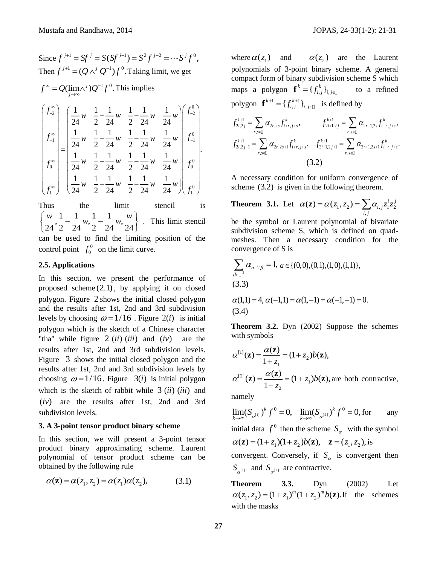Since  $f^{j+1} = Sf^j = S(Sf^{j-1}) = S^2 f^{j-2} = \cdots S^j f^0$ , Then  $f^{j+1} = (Q \wedge^j Q^{-1}) f^0$ . Taking limit, we get

 $f^{\infty} = Q(\lim_{j \to \infty} \wedge^{j}) Q^{-1} f^{0}$ . This implies

$$
\begin{pmatrix}\nf_{-2}^{\infty} \\
f_{-1}^{\infty} \\
f_{-1}^{\infty} \\
f_{0}^{\infty}\n\end{pmatrix} = \begin{pmatrix}\n\frac{1}{24}w & \frac{1}{2} - \frac{1}{24}w & \frac{1}{2} - \frac{1}{24}w & \frac{1}{24}w \\
\frac{1}{24}w & \frac{1}{2} - \frac{1}{24}w & \frac{1}{2} - \frac{1}{24}w & \frac{1}{24}w \\
\frac{1}{24}w & \frac{1}{2} - \frac{1}{24}w & \frac{1}{2} - \frac{1}{24}w & \frac{1}{24}w \\
\frac{1}{24}w & \frac{1}{2} - \frac{1}{24}w & \frac{1}{2} - \frac{1}{24}w & \frac{1}{24}w \\
\frac{1}{24}w & \frac{1}{2} - \frac{1}{24}w & \frac{1}{2} - \frac{1}{24}w & \frac{1}{24}w\n\end{pmatrix} f_{0}^{0}.
$$

Thus the limit stencil is the limit<br>  $\frac{w}{24}, \frac{1}{2} - \frac{1}{24}w, \frac{1}{2} - \frac{1}{24}w, \frac{w}{24}$ Thus the limit<br> $\left\{\frac{w}{24}, \frac{1}{2} - \frac{1}{24}w, \frac{1}{2} - \frac{1}{24}w, \frac{w}{24}\right\}$ . . This limit stencil can be used to find the limiting position of the control point  $f_0^0$  $f_0^0$  on the limit curve.

#### **2.5. Applications**

In this section, we present the performance of proposed scheme (2.1) , by applying it on closed polygon. Figure 2 shows the initial closed polygon and the results after 1st, 2nd and 3rd subdivision levels by choosing  $\omega = 1/16$ . Figure 2(*i*) is initial polygon which is the sketch of a Chinese character "tha" while figure  $2$  (*ii*) (*iii*) and are the results after 1st, 2nd and 3rd subdivision levels. Figure 3 shows the initial closed polygon and the results after 1st, 2nd and 3rd subdivision levels by choosing  $\omega = 1/16$ . Figure  $3(i)$  is initial polygon which is the sketch of rabbit while  $3 (ii) (iii)$  and (iv) are the results after 1st, 2nd and 3rd subdivision levels.

#### **3. A 3-point tensor product binary scheme**

In this section, we will present a 3-point tensor product binary approximating scheme. Laurent polynomial of tensor product scheme can be obtained by the following rule

$$
\alpha(\mathbf{z}) = \alpha(z_1, z_2) = \alpha(z_1)\alpha(z_2), \tag{3.1}
$$

where  $\alpha(z_1)$  and  $\alpha(z_2)$  are the Laurent polynomials of 3-point binary scheme. A general compact form of binary subdivision scheme S which maps a polygon  $f^k = \{f^k_{i,j}\}_{i,j \in \mathbb{J}}$  to a refined polygon  $f^{k+1} = \{f^{k+1}_{i}\}$ 

polygon 
$$
f^{k+1} = \{f_{i,j}^{k+1}\}_{i,j \in \mathbb{Z}}
$$
 is defined by

\n
$$
f_{2i,2j}^{k+1} = \sum_{r,s \in \mathbb{Z}} \alpha_{2r,2s} f_{i+r,j+s}^k, \qquad f_{2i+1,2j}^{k+1} = \sum_{r,s \in \mathbb{Z}} \alpha_{2r+1,2s} f_{i+r,j+s}^k,
$$
\n
$$
f_{2i,2j+1}^{k+1} = \sum_{r,s \in \mathbb{Z}} \alpha_{2r,2s+1} f_{i+r,j+s}^k, \qquad f_{2i+1,2j+1}^{k+1} = \sum_{r,s \in \mathbb{Z}} \alpha_{2r+1,2s+1} f_{i+r,j+s}^k.
$$
\n(3.2)

A necessary condition for uniform convergence of scheme (3.2) is given in the following theorem.

**Theorem 3.1.** Let  $\alpha(\mathbf{z}) = \alpha(z_1, z_2) = \sum_{i,j} \alpha_{i,j} z_1^i z_2^j$  $\alpha(\mathbf{z}) = \alpha(z_1, z_2) = \sum_{i,j} \alpha_{i,j} z_1^i z_2^j$ be the symbol or Laurent polynomial of bivariate subdivision scheme S, which is defined on quadmeshes. Then a necessary condition for the

$$
\sum_{\beta \in \mathbb{D}^2} \alpha_{a-2\beta} = 1, a \in \{(0,0), (0,1), (1,0), (1,1)\},\
$$
  
(3.3)

convergence of S is

(3.3)  
\n
$$
\alpha(1,1) = 4, \alpha(-1,1) = \alpha(1,-1) = \alpha(-1,-1) = 0.
$$
\n(3.4)

**Theorem 3.2.** Dyn (2002) Suppose the schemes with symbols

$$
\alpha^{[1]}(\mathbf{z}) = \frac{\alpha(\mathbf{z})}{1 + z_1} = (1 + z_2)b(\mathbf{z}),
$$
  
\n
$$
\alpha^{[2]}(\mathbf{z}) = \frac{\alpha(\mathbf{z})}{1 + z_2} = (1 + z_1)b(\mathbf{z}),
$$
 are both contractive,

namely

 $\lim_{k \to \infty} (S_{\alpha^{[1]}})^k f^0 = 0$ ,  $\lim_{k \to \infty} (S_{\alpha^{[2]}})^k f^0 = 0$ , for any initial data  $f^0$  then the scheme  $S_\alpha$  with the symbol initial data  $f^0$  then the scheme  $S_\alpha$  with the<br>  $\alpha(\mathbf{z}) = (1 + z_1)(1 + z_2)b(\mathbf{z}), \quad \mathbf{z} = (z_1, z_2)$ , is convergent. Conversely, if  $S_{\alpha}$  is convergent then  $S_{\alpha^{[1]}}$  and  $S_{\alpha^{[2]}}$  are contractive.

**Theorem 3.3.** Dyn (2002) Let **Theorem 3.3.** Dyn (2002) Let  $\alpha(z_1, z_2) = (1 + z_1)^m (1 + z_2)^m b(\mathbf{z})$ . If the schemes with the masks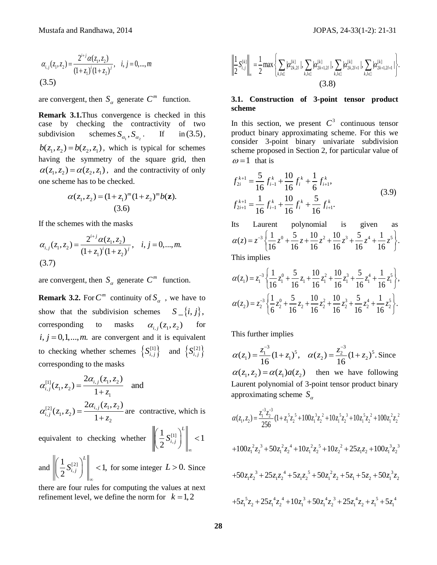$$
\alpha_{i,j}(z_1, z_2) = \frac{2^{i+j}\alpha(z_1, z_2)}{(1+z_1)^i(1+z_2)^j}, \quad i, j = 0, \dots, m
$$
\n(3.5)

are convergent, then  $S_\alpha$  generate  $C^m$  function.

**Remark 3.1.**Thus convergence is checked in this case by checking the contractivity of two subdivision schemes  $S_{\alpha_1}$ ,  $S_{\alpha_2}$  $\mathbf{If}$  $in (3.5),$  $b(z_1, z_2) = b(z_2, z_1)$ , which is typical for schemes having the symmetry of the square grid, then  $\alpha(z_1, z_2) = \alpha(z_2, z_1)$ , and the contractivity of only one scheme has to be checked.

$$
\alpha(z_1, z_2) = (1 + z_1)^m (1 + z_2)^m b(\mathbf{z}).
$$
  
(3.6)

If the schemes with the masks

If the schemes with the masks  
\n
$$
\alpha_{i,j}(z_1, z_2) = \frac{2^{i+j}\alpha(z_1, z_2)}{(1+z_1)^i(1+z_2)^j}, \quad i, j = 0, ..., m.
$$
\n(3.7)

are convergent, then  $S_\alpha$  generate  $C^m$  function.

**Remark 3.2.** For  $C^m$  continuity of  $S_\alpha$ , we have to show that the subdivision schemes  $S_{-}\{i, j\},$ corresponding to masks  $\alpha_{i,j}(z_1, z_2)$  for  $i, j = 0,1,...,m$ . are convergent and it is equivalent to checking whether schemes  $\{S_{i,j}^{[1]}\}$  $S_{i,j}^{[1]}\}$  and  $\{S_{i,j}^{[2]}\}$  $S_{i,j}^{[2]}$ corresponding to the masks

$$
\alpha_{i,j}^{[1]}(z_1, z_2) = \frac{2\alpha_{i,j}(z_1, z_2)}{1 + z_1}
$$
 and  

$$
\alpha_{i,j}^{[2]}(z_1, z_2) = \frac{2\alpha_{i,j}(z_1, z_2)}{1 + z_2}
$$
 are contractive, which is

equivalent to checking whether  $\|\cdot\|_2^2 S_i^{[1]}$ ,  $\frac{1}{2} S_{i}^{[1]} \left\| 1 \right\| 1$ 2 *L*  $\left(\frac{1}{2}S_{i,j}^{[1]}\right)^{\nu}\Bigg\|_{\infty} <$ ∞

and  $\|\frac{1}{2}S_i^{[2]}$ ,  $\frac{1}{2} S_{i}^{[2]} \left\| 1, 1 \right\| < 1,$ 2 *L*  $\left(\frac{1}{2}S_{i,j}^{[2]}\right)^{\nu}\Bigg\|_{\infty} <$ ∞ for some integer  $L > 0$ . Since

there are four rules for computing the values at next refinement level, we define the norm for  $k = 1, 2$ 



# **3.1. Construction of 3-point tensor product scheme**

In this section, we present  $C<sup>3</sup>$  continuous tensor product binary approximating scheme. For this we consider 3-point binary univariate subdivision scheme proposed in Section 2, for particular value of  $\omega$  = 1 that is

$$
f_{2i}^{k+1} = \frac{5}{16} f_{i-1}^k + \frac{10}{16} f_i^k + \frac{1}{6} f_{i+1}^k,
$$
  

$$
f_{2i+1}^{k+1} = \frac{1}{16} f_{i-1}^k + \frac{10}{16} f_i^k + \frac{5}{16} f_{i+1}^k.
$$
 (3.9)

Its Laurent polynomial is given 3 Laurent polynomial is given as<br>  $z(z) = z^{-3} \left\{ \frac{1}{16} z^0 + \frac{5}{16} z + \frac{10}{16} z^2 + \frac{10}{16} z^3 + \frac{5}{16} z^4 + \frac{1}{16} z^5 \right\}.$  $\frac{1}{16}z^{0} + \frac{5}{16}z + \frac{10}{16}z^{2} + \frac{10}{16}z^{3} + \frac{5}{16}z^{4} + \frac{1}{16}$ Its Laurent polynomial is given as<br>  $\alpha(z) = z^{-3} \left\{ \frac{1}{16} z^0 + \frac{5}{16} z + \frac{10}{16} z^2 + \frac{10}{16} z^3 + \frac{5}{16} z^4 + \frac{1}{16} z^5 \right\}.$ This implies

This implies  
\n
$$
\alpha(z_1) = z_1^{-3} \left\{ \frac{1}{16} z_1^0 + \frac{5}{16} z_1 + \frac{10}{16} z_1^2 + \frac{10}{16} z_1^3 + \frac{5}{16} z_1^4 + \frac{1}{16} z_1^5 \right\},\
$$
\n
$$
\alpha(z_2) = z_2^{-3} \left\{ \frac{1}{6} z_2^0 + \frac{5}{16} z_2 + \frac{10}{16} z_2^2 + \frac{10}{16} z_2^3 + \frac{5}{16} z_2^4 + \frac{1}{16} z_2^5 \right\}.
$$

This further implies

This further implies  
\n
$$
\alpha(z_1) = \frac{z_1^{-3}}{16} (1 + z_1)^5, \quad \alpha(z_2) = \frac{z_2^{-3}}{16} (1 + z_2)^5.
$$
 Since  
\n
$$
\alpha(z_1, z_2) = \alpha(z_1) a(z_2)
$$
 then we have following  
\nLaurent polynomial of 3-point tensor product binary  
\napproximating scheme  $S_\alpha$   
\n
$$
\alpha(z_1, z_2) = \frac{z_1^{3} z_2^{3}}{256} (1 + z_1^{5} z_2^{5} + 100 z_1^{3} z_2^{2} + 10 z_1^{5} z_2^{3} + 10 z_1^{5} z_2^{2} + 100 z_1^{2} z_2^{2}
$$

$$
\begin{vmatrix}\n1 & 0 & 0 \\
2 & 0 & 0 \\
2 & 1 & 0\n\end{vmatrix}\n= \frac{1}{2} \max \left\{ \sum_{k,i=1}^{k} |z_{k,2}^{(k)}|, \sum_{k,i=1}^{k} |z_{k,3}^{(k)}|, \sum_{k,i=1}^{k} |z_{k,2}^{(k)}|, \sum_{k,i=1}^{k} |z_{k,1}^{(k)}| \right\}.
$$
\n  
\naction. 3.1. Construction of 3-point tensor product  
\nend in this  
\nof two  
\nin (3.5), product binary approximating scheme. For this we  
\nconsider 3-point binary univariate subdivision  
\n $\omega = 1$  that is  
\n $\omega = 1$  that is  
\n $\omega = 1$  that is  
\n $\omega = 1$  that is  
\n $\omega = 1$  that is  
\n $\omega = 1$  that is  
\n $\omega = 1$  that is  
\n $\omega = 1$  that is  
\n $\omega = 1$  that is  
\n $\omega = 1$  that is  
\n $\omega = 1$  that is  
\n $\omega = 1$  that polynomial is given as  
\n $\omega = 1$  that polynomial is given as  
\n $\omega = 1$  that polynomial is given as  
\n $\omega = 1$  and  
\n $\omega = 1$  that polynomial is given as  
\n $\omega = 1$  and  
\n $\omega = 1$  and  
\n $\omega = 1$  and  
\n $\omega = 1$  and  
\n $\omega = 1$  and  
\n $\omega = 1$  and  
\n $\omega = 1$  and  
\n $\omega = 1$  and  
\n $\omega = 1$  and  
\n $\omega = 1$  and  
\n $\omega = 1$  and  
\n $\omega = 1$  and  
\n $\omega = 1$  and  
\n $\omega = 1$  and  
\n $\omega = 1$  and  
\n $\omega = 1$  and  
\n $\omega = 1$  and  
\n $\omega = 1$  and  
\n $\omega = 1$  and  
\n $\omega = 1$  and  
\n $\omega = 1$  and  
\n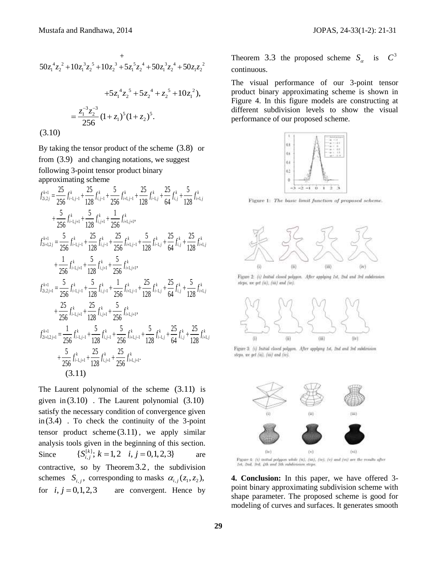$$
50z_1^4z_2^2 + 10z_1^3z_2^5 + 10z_2^3 + 5z_1^5z_2^4 + 50z_1^3z_2^4 + 50z_1z_2^2
$$
  
+5z\_1^4z\_2^5 + 5z\_2^4 + z\_2^5 + 10z\_1^2),  
= 
$$
\frac{z_1^{-3}z_2^{-3}}{256}(1+z_1)^5(1+z_2)^5.
$$
  
(3.10)

By taking the tensor product of the scheme (3.8) or from (3.9) and changing notations, we suggest following 3-point tensor product binary<br>approximating scheme<br> $f_{k+1}^{k+1} = \frac{25}{5} f_{k+1}^k + \frac{25}{5} f_{k+1}^k + \frac{25}{5} f_{k+1}^k + \frac{25}{5} f_{k+1}^k + \frac{25}{5} f_{k+1}^k$ 

$$
\begin{split}\n&\text{approximating scheme} \\
&f_{2i,2j}^{k+1} = \frac{25}{256} f_{i-l,j-1}^k + \frac{25}{128} f_{i,j-1}^k + \frac{5}{256} f_{i+l,j-1}^k + \frac{25}{128} f_{i-l,j}^k + \frac{5}{64} f_{i,j}^k + \frac{5}{128} f_{i+l,j}^k \\
&+ \frac{5}{256} f_{i-l,j+1}^k + \frac{5}{128} f_{i,j+1}^k + \frac{1}{256} f_{i+l,j+1}^k, \\
&f_{2i+1,2j}^{k+1} = \frac{5}{256} f_{i-l,j-1}^k + \frac{25}{128} f_{i,j-1}^k + \frac{25}{256} f_{i+l,j-1}^k + \frac{5}{128} f_{i-l,j}^k + \frac{25}{64} f_{i,l}^k + \frac{25}{128} f_{i+l,j}^k \\
&+ \frac{1}{256} f_{i-l,j+1}^k + \frac{5}{128} f_{i,j+1}^k + \frac{5}{256} f_{i+l,j+1}^k, \\
&f_{2i,2j+1}^{k+1} = \frac{5}{256} f_{i-l,j-1}^k + \frac{5}{128} f_{i,j-1}^k + \frac{1}{256} f_{i+l,j-1}^k + \frac{25}{128} f_{i-l,j}^k + \frac{25}{64} f_{i,j}^k + \frac{5}{128} f_{i+l,j}^k \\
&+ \frac{25}{256} f_{i-l,j+1}^k + \frac{25}{128} f_{i,j+1}^k + \frac{5}{256} f_{i+l,j+1}^k, \\
&f_{2i+1,2j+1}^{k+1} = \frac{1}{256} f_{i-l,j-1}^k + \frac{5}{128} f_{i,j-1}^k + \frac{5}{256} f_{i+l,j-1}^k + \frac{5}{128} f_{i-l,j}^k + \frac{25}{128} f_{i,l}^k + \frac{25}{128} f_{i-l,j+1}^k \\
&+ \frac{5}{256} f_{i-l,j+1}^k + \frac{25}{128
$$

The Laurent polynomial of the scheme (3.11) is given in (3.10) . The Laurent polynomial (3.10) satisfy the necessary condition of convergence given in (3.4) . To check the continuity of the 3-point tensor product scheme (3.11) , we apply similar analysis tools given in the beginning of this section. Since is given in the beginning of the  $\{S_{i,j}^{[k]}\,;\, k=1,2\quad i,j=0,1,2,3\}$ are contractive, so by Theorem 3.2 , the subdivision schemes  $S_{i,j}$ , corresponding to masks  $\alpha_{i,j}(z_1, z_2)$ , for  $i, j = 0, 1, 2, 3$  are convergent. Hence by

Theorem 3.3 the proposed scheme  $S_a$  is  $C^3$ continuous.

The visual performance of our 3-point tensor product binary approximating scheme is shown in Figure 4. In this figure models are constructing at different subdivision levels to show the visual performance of our proposed scheme.



Figure 1: The basic limit function of proposed scheme.



Figure 2: (i) Initial closed polygon. After applying 1st, 2nd and 3rd subdivision steps, we get (ii), (iii) and (iv).



Figure 3: (i) Initial closed polygon. After applying 1st, 2nd and 3rd subdivision steps, we get (ii), (iii) and (iv).



.<br>Figure 4: (i) mittal polygon while [ii], [iii], [iv], [v] and [vi] are the results after<br>Let, 2nd, 3rd, 4th and 5th subdivision steps.

**4. Conclusion:** In this paper, we have offered 3 point binary approximating subdivision scheme with shape parameter. The proposed scheme is good for modeling of curves and surfaces. It generates smooth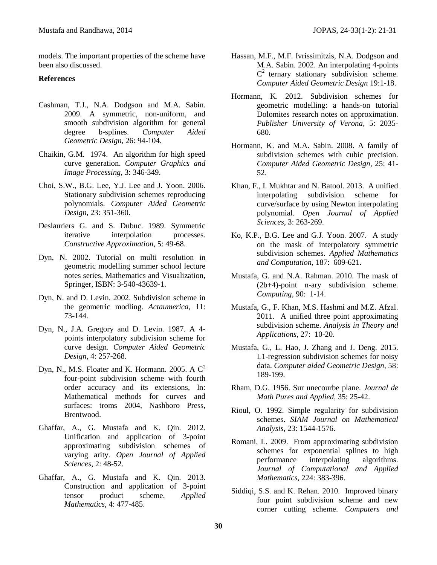models. The important properties of the scheme have been also discussed.

### **References**

- Cashman, T.J., N.A. Dodgson and M.A. Sabin. 2009. A symmetric, non-uniform, and smooth subdivision algorithm for general degree b-splines. *Computer Aided Geometric Design*, 26: 94-104.
- Chaikin, G.M. 1974. An algorithm for high speed curve generation. *Computer Graphics and Image Processing,* 3: 346-349.
- Choi, S.W., B.G. Lee, Y.J. Lee and J. Yoon. 2006. Stationary subdivision schemes reproducing polynomials. *Computer Aided Geometric Design*, 23: 351-360.
- Deslauriers G. and S. Dubuc. 1989. Symmetric iterative interpolation processes. *Constructive Approximation*, 5: 49-68.
- Dyn, N. 2002. Tutorial on multi resolution in geometric modelling summer school lecture notes series, Mathematics and Visualization, Springer, ISBN: 3-540-43639-1.
- Dyn, N. and D. Levin. 2002. Subdivision scheme in the geometric modling. *Actaumerica*, 11: 73-144.
- Dyn, N., J.A. Gregory and D. Levin. 1987. A 4 points interpolatory subdivision scheme for curve design. *Computer Aided Geometric Design*, 4: 257-268.
- Dyn, N., M.S. Floater and K. Hormann. 2005. A  $C^2$ four-point subdivision scheme with fourth order accuracy and its extensions, In: Mathematical methods for curves and surfaces: troms 2004, Nashboro Press, Brentwood.
- Ghaffar, A., G. Mustafa and K. Qin. 2012. Unification and application of 3-point approximating subdivision schemes of varying arity. *Open Journal of Applied Sciences*, 2: 48-52.
- Ghaffar, A., G. Mustafa and K. Qin. 2013. Construction and application of 3-point tensor product scheme. *Applied Mathematics*, 4: 477-485.
- Hassan, M.F., M.F. Ivrissimitzis, N.A. Dodgson and M.A. Sabin. 2002. An interpolating 4-points  $C<sup>2</sup>$  ternary stationary subdivision scheme. *Computer Aided Geometric Design* 19:1-18.
- Hormann, K. 2012. Subdivision schemes for geometric modelling: a hands-on tutorial Dolomites research notes on approximation. *Publisher University of Verona*, 5: 2035- 680.
- Hormann, K. and M.A. Sabin. 2008. A family of subdivision schemes with cubic precision. *Computer Aided Geometric Design*, 25: 41- 52.
- Khan, F., I. Mukhtar and N. Batool. 2013. A unified interpolating subdivision scheme for curve/surface by using Newton interpolating polynomial. *Open Journal of Applied Sciences*, 3: 263-269.
- Ko, K.P., B.G. Lee and G.J. Yoon. 2007. A study on the mask of interpolatory symmetric subdivision schemes. *Applied Mathematics and Computation*, 187: 609-621.
- Mustafa, G. and N.A. Rahman. 2010. The mask of (2b+4)-point n-ary subdivision scheme. *Computing*, 90: 1-14.
- Mustafa, G., F. Khan, M.S. Hashmi and M.Z. Afzal. 2011. A unified three point approximating subdivision scheme. *Analysis in Theory and Applications*, 27: 10-20.
- Mustafa, G., L. Hao, J. Zhang and J. Deng. 2015. L1-regression subdivision schemes for noisy data. *Computer aided Geometric Design,* 58: 189-199.
- Rham, D.G. 1956. Sur unecourbe plane. *Journal de Math Pures and Applied,* 35: 25-42.
- Rioul, O. 1992. Simple regularity for subdivision schemes. *SIAM Journal on Mathematical Analysis,* 23: 1544-1576.
- Romani, L. 2009. From approximating subdivision schemes for exponential splines to high performance interpolating algorithms. *Journal of Computational and Applied Mathematics,* 224: 383-396.
- Siddiqi, S.S. and K. Rehan. 2010. Improved binary four point subdivision scheme and new corner cutting scheme. *Computers and*